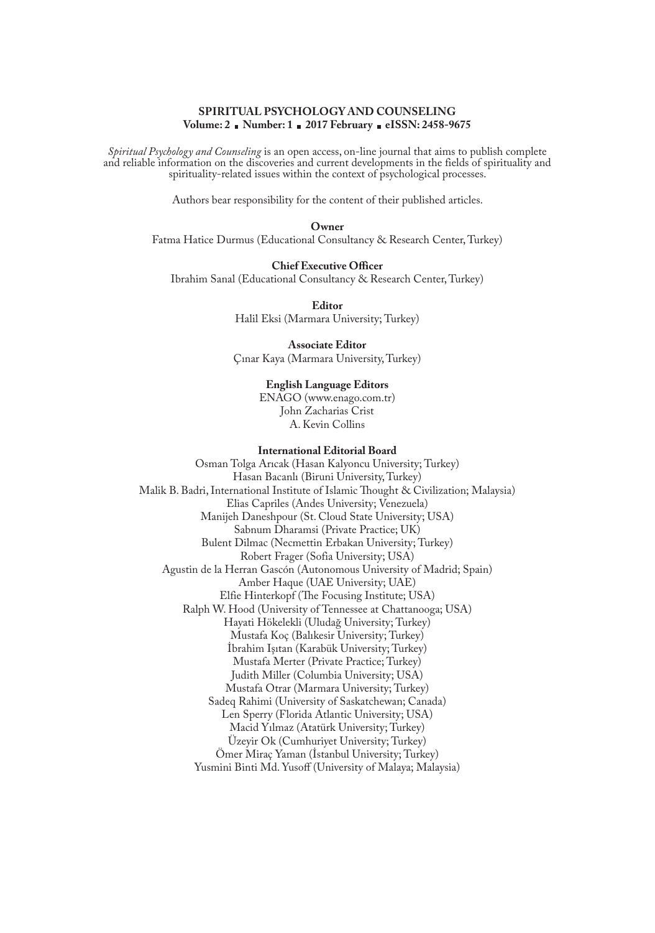# **SPIRITUAL PSYCHOLOGY AND COUNSELING Volume: 2 Number: 1 2017 February eISSN: 2458-9675**

*Spiritual Psychology and Counseling* is an open access, on-line journal that aims to publish complete and reliable information on the discoveries and current developments in the fields of spirituality and spirituality-related issues within the context of psychological processes.

Authors bear responsibility for the content of their published articles.

### **Owner**

Fatma Hatice Durmus (Educational Consultancy & Research Center, Turkey)

# **Chief Executive Officer**

Ibrahim Sanal (Educational Consultancy & Research Center, Turkey)

**Editor** Halil Eksi (Marmara University; Turkey)

**Associate Editor** Çınar Kaya (Marmara University, Turkey)

## **English Language Editors**

ENAGO (www.enago.com.tr) John Zacharias Crist A. Kevin Collins

### **International Editorial Board**

Osman Tolga Arıcak (Hasan Kalyoncu University; Turkey) Hasan Bacanlı (Biruni University, Turkey) Malik B. Badri, International Institute of Islamic Thought & Civilization; Malaysia) Elias Capriles (Andes University; Venezuela) Manijeh Daneshpour (St. Cloud State University; USA) Sabnum Dharamsi (Private Practice; UK) Bulent Dilmac (Necmettin Erbakan University; Turkey) Robert Frager (Sofia University; USA) Agustin de la Herran Gascón (Autonomous University of Madrid; Spain) Amber Haque (UAE University; UAE) Elfie Hinterkopf (The Focusing Institute; USA) Ralph W. Hood (University of Tennessee at Chattanooga; USA) Hayati Hökelekli (Uludağ University; Turkey) Mustafa Koç (Balıkesir University; Turkey) İbrahim Işıtan (Karabük University; Turkey) Mustafa Merter (Private Practice; Turkey) Judith Miller (Columbia University; USA) Mustafa Otrar (Marmara University; Turkey) Sadeq Rahimi (University of Saskatchewan; Canada) Len Sperry (Florida Atlantic University; USA) Macid Yılmaz (Atatürk University; Turkey) Üzeyir Ok (Cumhuriyet University; Turkey) Ömer Miraç Yaman (İstanbul University; Turkey) Yusmini Binti Md. Yusoff (University of Malaya; Malaysia)